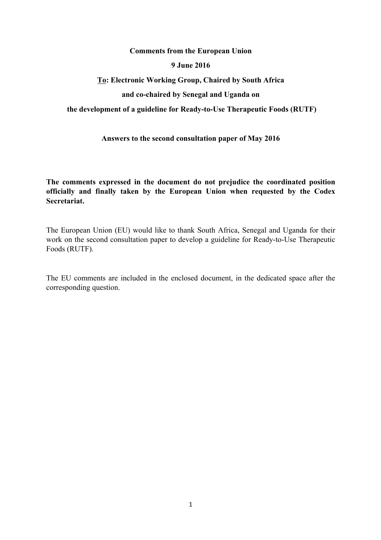## **Comments from the European Union**

#### **9 June 2016**

# **To: Electronic Working Group, Chaired by South Africa and co-chaired by Senegal and Uganda on**

#### **the development of a guideline for Ready-to-Use Therapeutic Foods (RUTF)**

## **Answers to the second consultation paper of May 2016**

**The comments expressed in the document do not prejudice the coordinated position officially and finally taken by the European Union when requested by the Codex Secretariat.**

The European Union (EU) would like to thank South Africa, Senegal and Uganda for their work on the second consultation paper to develop a guideline for Ready-to-Use Therapeutic Foods (RUTF).

The EU comments are included in the enclosed document, in the dedicated space after the corresponding question.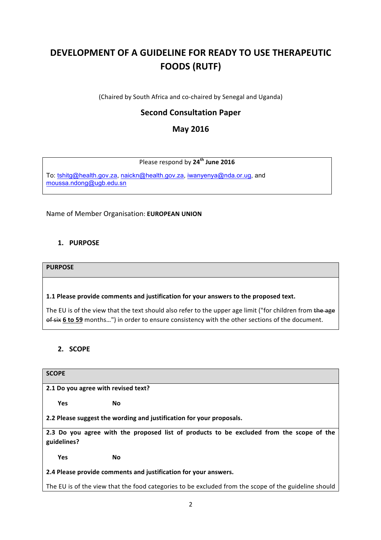# **DEVELOPMENT OF A GUIDELINE FOR READY TO USE THERAPEUTIC FOODS (RUTF)**

(Chaired by South Africa and co-chaired by Senegal and Uganda)

# **Second Consultation Paper**

# **May 2016**

## Please respond by **24th June 2016**

To: [tshitg@health.gov.za](mailto:tshitg@health.gov.za), [naickn@health.gov.za](mailto:naickn@health.gov.za), [iwanyenya@nda.or.ug](mailto:iwanyenya@nda.or.ug), and [moussa.ndong@ugb.edu.sn](mailto:moussa.ndong@ugb.edu.sn)

Name of Member Organisation: **EUROPEAN UNION** 

## **1. PURPOSE**

#### **PURPOSE**

## **1.1 Please provide comments and justification for your answers to the proposed text.**

The EU is of the view that the text should also refer to the upper age limit ("for children from the age of six 6 to 59 months...") in order to ensure consistency with the other sections of the document.

# **2. SCOPE**

#### **SCOPE**

**2.1 Do you agree with revised text?** 

**Yes No** 

2.2 Please suggest the wording and justification for your proposals.

**2.3** Do you agree with the proposed list of products to be excluded from the scope of the **guidelines?**

**No No** 

**2.4 Please provide comments and justification for your answers.**

The EU is of the view that the food categories to be excluded from the scope of the guideline should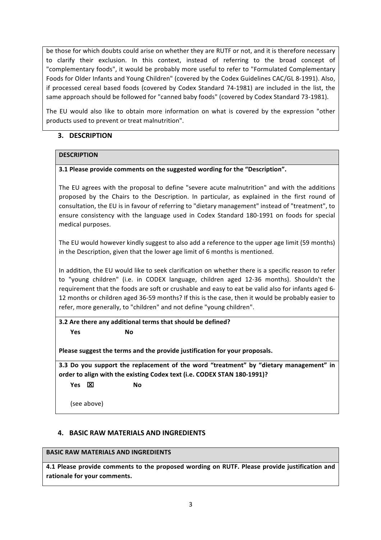be those for which doubts could arise on whether they are RUTF or not, and it is therefore necessary to clarify their exclusion. In this context, instead of referring to the broad concept of "complementary foods", it would be probably more useful to refer to "Formulated Complementary Foods for Older Infants and Young Children" (covered by the Codex Guidelines CAC/GL 8-1991). Also, if processed cereal based foods (covered by Codex Standard 74-1981) are included in the list, the same approach should be followed for "canned baby foods" (covered by Codex Standard 73-1981).

The EU would also like to obtain more information on what is covered by the expression "other products used to prevent or treat malnutrition".

## **3. DESCRIPTION**

## **DESCRIPTION**

## **3.1 Please provide comments on the suggested wording for the "Description".**

The EU agrees with the proposal to define "severe acute malnutrition" and with the additions proposed by the Chairs to the Description. In particular, as explained in the first round of consultation, the EU is in favour of referring to "dietary management" instead of "treatment", to ensure consistency with the language used in Codex Standard 180-1991 on foods for special medical purposes.

The EU would however kindly suggest to also add a reference to the upper age limit (59 months) in the Description, given that the lower age limit of 6 months is mentioned.

In addition, the EU would like to seek clarification on whether there is a specific reason to refer to "young children" (i.e. in CODEX language, children aged 12-36 months). Shouldn't the requirement that the foods are soft or crushable and easy to eat be valid also for infants aged 6-12 months or children aged 36-59 months? If this is the case, then it would be probably easier to refer, more generally, to "children" and not define "young children".

**3.2** Are there any additional terms that should be defined? **Yes No** 

Please suggest the terms and the provide justification for your proposals.

**3.3** Do you support the replacement of the word "treatment" by "dietary management" in order to align with the existing Codex text (i.e. CODEX STAN 180-1991)? **Yes**  x **No** 

(see above)

## **4. BASIC RAW MATERIALS AND INGREDIENTS**

#### **BASIC RAW MATERIALS AND INGREDIENTS**

**4.1 Please provide comments to the proposed wording on RUTF. Please provide justification and** rationale for your comments.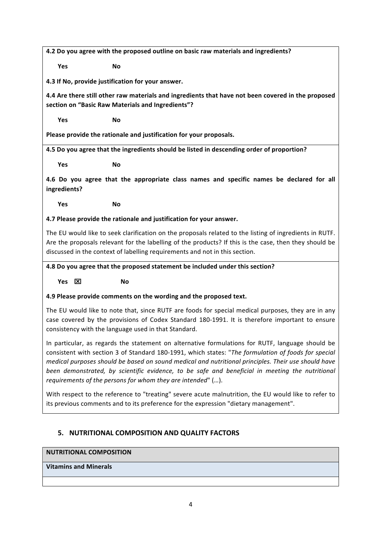**4.2** Do you agree with the proposed outline on basic raw materials and ingredients?

**Yes No** 

**4.3 If No, provide justification for your answer.** 

**4.4** Are there still other raw materials and ingredients that have not been covered in the proposed section on "Basic Raw Materials and Ingredients"?

**Yes No** 

Please provide the rationale and justification for your proposals.

4.5 Do you agree that the ingredients should be listed in descending order of proportion?

**Yes No** 

**4.6** Do you agree that the appropriate class names and specific names be declared for all **ingredients?**

**Yes No** 

## **4.7 Please provide the rationale and justification for your answer.**

The EU would like to seek clarification on the proposals related to the listing of ingredients in RUTF. Are the proposals relevant for the labelling of the products? If this is the case, then they should be discussed in the context of labelling requirements and not in this section.

## **4.8** Do you agree that the proposed statement be included under this section?

**Yes**  x **No** 

# **4.9 Please provide comments on the wording and the proposed text.**

The EU would like to note that, since RUTF are foods for special medical purposes, they are in any case covered by the provisions of Codex Standard 180-1991. It is therefore important to ensure consistency with the language used in that Standard.

In particular, as regards the statement on alternative formulations for RUTF, language should be consistent with section 3 of Standard 180-1991, which states: "The formulation of foods for special *medical purposes should be based on sound medical and nutritional principles. Their use should have been* demonstrated, by scientific evidence, to be safe and beneficial in meeting the nutritional *requirements of the persons for whom they are intended*" (...).

With respect to the reference to "treating" severe acute malnutrition, the EU would like to refer to its previous comments and to its preference for the expression "dietary management".

# **5. NUTRITIONAL COMPOSITION AND QUALITY FACTORS**

## **NUTRITIONAL COMPOSITION**

# **Vitamins and Minerals**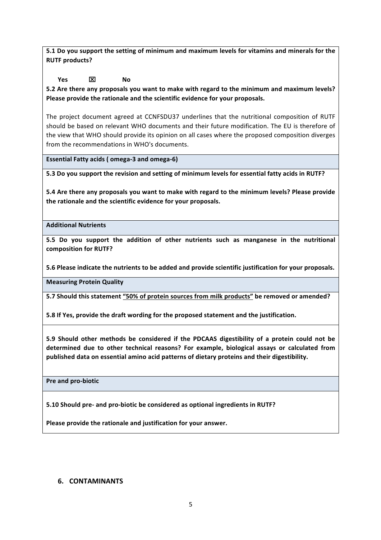**5.1** Do you support the setting of minimum and maximum levels for vitamins and minerals for the **RUTF** products?

**Yes**  $\boxed{\mathbf{X}}$  No

5.2 Are there any proposals you want to make with regard to the minimum and maximum levels? Please provide the rationale and the scientific evidence for your proposals.

The project document agreed at CCNFSDU37 underlines that the nutritional composition of RUTF should be based on relevant WHO documents and their future modification. The EU is therefore of the view that WHO should provide its opinion on all cases where the proposed composition diverges from the recommendations in WHO's documents.

Essential Fatty acids (omega-3 and omega-6)

**5.3** Do you support the revision and setting of minimum levels for essential fatty acids in RUTF?

**5.4** Are there any proposals you want to make with regard to the minimum levels? Please provide the rationale and the scientific evidence for your proposals.

**Additional Nutrients**

**5.5** Do you support the addition of other nutrients such as manganese in the nutritional composition for RUTF?

**5.6 Please indicate the nutrients to be added and provide scientific justification for your proposals.** 

**Measuring Protein Quality**

5.7 Should this statement "50% of protein sources from milk products" be removed or amended?

**5.8** If Yes, provide the draft wording for the proposed statement and the justification.

**5.9** Should other methods be considered if the PDCAAS digestibility of a protein could not be determined due to other technical reasons? For example, biological assays or calculated from published data on essential amino acid patterns of dietary proteins and their digestibility.

**Pre and pro-biotic** 

**5.10 Should pre- and pro-biotic be considered as optional ingredients in RUTF?**

Please provide the rationale and justification for your answer.

## **6. CONTAMINANTS**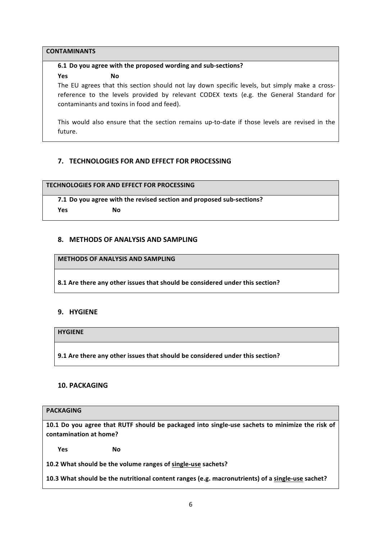#### **CONTAMINANTS**

#### **6.1 Do you agree with the proposed wording and sub-sections?**

**Yes No** 

The EU agrees that this section should not lay down specific levels, but simply make a crossreference to the levels provided by relevant CODEX texts (e.g. the General Standard for contaminants and toxins in food and feed).

This would also ensure that the section remains up-to-date if those levels are revised in the future.

## **7. TECHNOLOGIES FOR AND FEFECT FOR PROCESSING**

**TECHNOLOGIES FOR AND EFFECT FOR PROCESSING** 

**7.1** Do you agree with the revised section and proposed sub-sections? **Yes No** 

#### **8. METHODS OF ANALYSIS AND SAMPLING**

**METHODS OF ANALYSIS AND SAMPLING** 

8.1 Are there any other issues that should be considered under this section?

## **9. HYGIENE**

**HYGIENE**

9.1 Are there any other issues that should be considered under this section?

## **10. PACKAGING**

## **PACKAGING**

**10.1** Do you agree that RUTF should be packaged into single-use sachets to minimize the risk of **contamination at home?** 

**Yes No** 

10.2 What should be the volume ranges of single-use sachets?

**10.3** What should be the nutritional content ranges (e.g. macronutrients) of a single-use sachet?